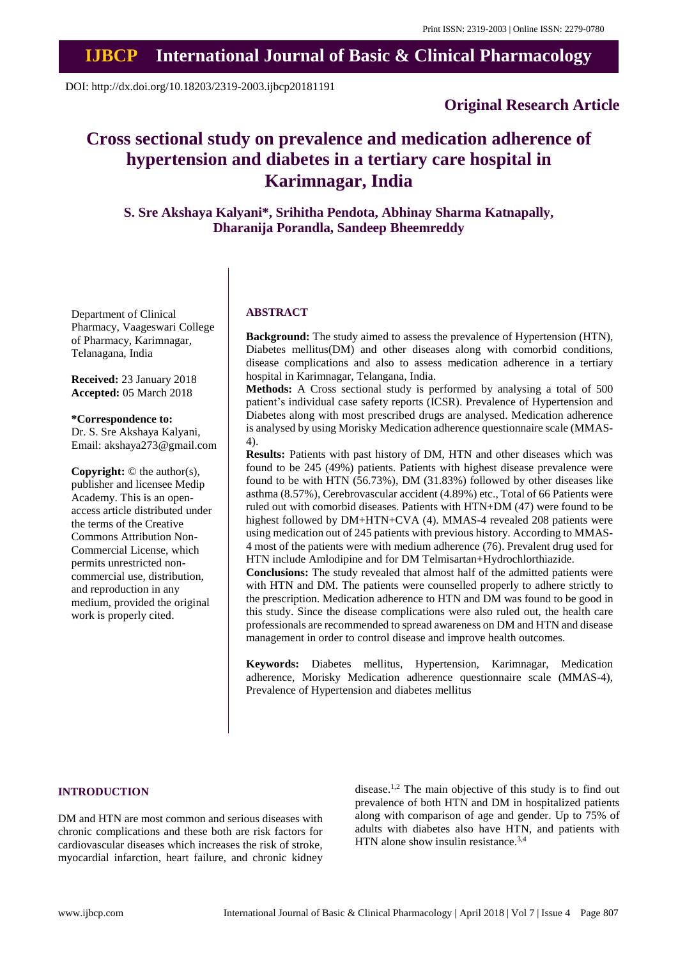# **IJBCP International Journal of Basic & Clinical Pharmacology**

DOI: http://dx.doi.org/10.18203/2319-2003.ijbcp20181191

## **Original Research Article**

## **Cross sectional study on prevalence and medication adherence of hypertension and diabetes in a tertiary care hospital in Karimnagar, India**

**S. Sre Akshaya Kalyani\*, Srihitha Pendota, Abhinay Sharma Katnapally, Dharanija Porandla, Sandeep Bheemreddy**

Department of Clinical Pharmacy, Vaageswari College of Pharmacy, Karimnagar, Telanagana, India

**Received:** 23 January 2018 **Accepted:** 05 March 2018

**\*Correspondence to:** Dr. S. Sre Akshaya Kalyani, Email: akshaya273@gmail.com

**Copyright:** © the author(s), publisher and licensee Medip Academy. This is an openaccess article distributed under the terms of the Creative Commons Attribution Non-Commercial License, which permits unrestricted noncommercial use, distribution, and reproduction in any medium, provided the original work is properly cited.

#### **ABSTRACT**

**Background:** The study aimed to assess the prevalence of Hypertension (HTN), Diabetes mellitus(DM) and other diseases along with comorbid conditions, disease complications and also to assess medication adherence in a tertiary hospital in Karimnagar, Telangana, India.

**Methods:** A Cross sectional study is performed by analysing a total of 500 patient's individual case safety reports (ICSR). Prevalence of Hypertension and Diabetes along with most prescribed drugs are analysed. Medication adherence is analysed by using Morisky Medication adherence questionnaire scale (MMAS-4).

**Results:** Patients with past history of DM, HTN and other diseases which was found to be 245 (49%) patients. Patients with highest disease prevalence were found to be with HTN (56.73%), DM (31.83%) followed by other diseases like asthma (8.57%), Cerebrovascular accident (4.89%) etc., Total of 66 Patients were ruled out with comorbid diseases. Patients with HTN+DM (47) were found to be highest followed by DM+HTN+CVA (4). MMAS-4 revealed 208 patients were using medication out of 245 patients with previous history. According to MMAS-4 most of the patients were with medium adherence (76). Prevalent drug used for HTN include Amlodipine and for DM Telmisartan+Hydrochlorthiazide.

**Conclusions:** The study revealed that almost half of the admitted patients were with HTN and DM. The patients were counselled properly to adhere strictly to the prescription. Medication adherence to HTN and DM was found to be good in this study. Since the disease complications were also ruled out, the health care professionals are recommended to spread awareness on DM and HTN and disease management in order to control disease and improve health outcomes.

**Keywords:** Diabetes mellitus, Hypertension, Karimnagar, Medication adherence, Morisky Medication adherence questionnaire scale (MMAS-4), Prevalence of Hypertension and diabetes mellitus

### **INTRODUCTION**

DM and HTN are most common and serious diseases with chronic complications and these both are risk factors for cardiovascular diseases which increases the risk of stroke, myocardial infarction, heart failure, and chronic kidney

disease.<sup>1,2</sup> The main objective of this study is to find out prevalence of both HTN and DM in hospitalized patients along with comparison of age and gender. Up to 75% of adults with diabetes also have HTN, and patients with HTN alone show insulin resistance. 3,4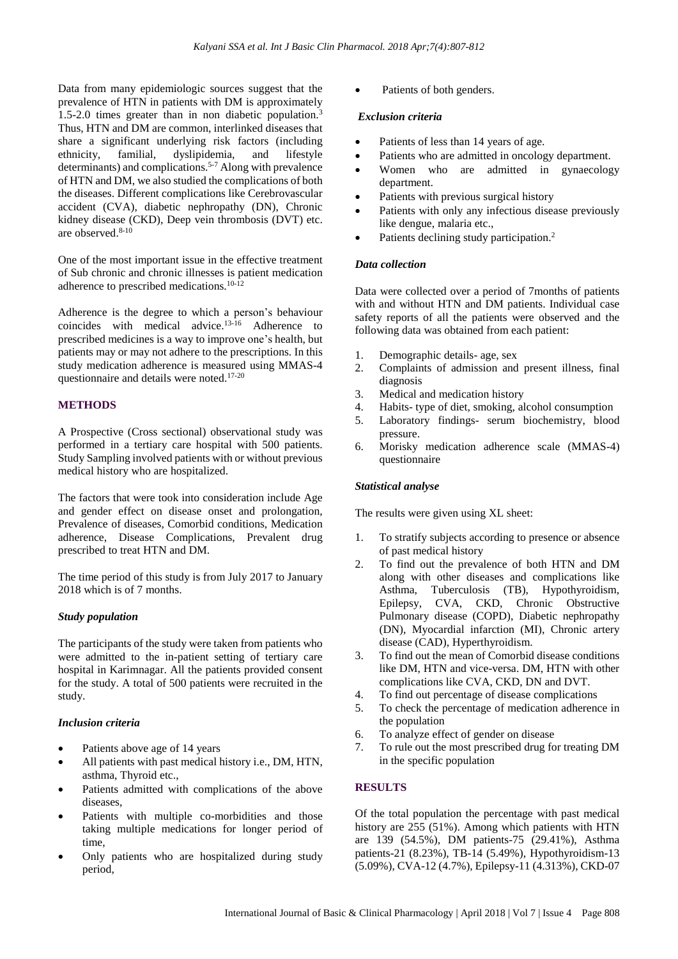Data from many epidemiologic sources suggest that the prevalence of HTN in patients with DM is approximately 1.5-2.0 times greater than in non diabetic population. 3 Thus, HTN and DM are common, interlinked diseases that share a significant underlying risk factors (including ethnicity, familial, dyslipidemia, and lifestyle determinants) and complications. 5-7 Along with prevalence of HTN and DM, we also studied the complications of both the diseases. Different complications like Cerebrovascular accident (CVA), diabetic nephropathy (DN), Chronic kidney disease (CKD), Deep vein thrombosis (DVT) etc. are observed. 8-10

One of the most important issue in the effective treatment of Sub chronic and chronic illnesses is patient medication adherence to prescribed medications. 10-12

Adherence is the degree to which a person's behaviour coincides with medical advice. 13-16 Adherence to prescribed medicines is a way to improve one's health, but patients may or may not adhere to the prescriptions. In this study medication adherence is measured using MMAS-4 questionnaire and details were noted.17-20

## **METHODS**

A Prospective (Cross sectional) observational study was performed in a tertiary care hospital with 500 patients. Study Sampling involved patients with or without previous medical history who are hospitalized.

The factors that were took into consideration include Age and gender effect on disease onset and prolongation, Prevalence of diseases, Comorbid conditions, Medication adherence, Disease Complications, Prevalent drug prescribed to treat HTN and DM.

The time period of this study is from July 2017 to January 2018 which is of 7 months.

## *Study population*

The participants of the study were taken from patients who were admitted to the in-patient setting of tertiary care hospital in Karimnagar. All the patients provided consent for the study. A total of 500 patients were recruited in the study.

#### *Inclusion criteria*

- Patients above age of 14 years
- All patients with past medical history i.e., DM, HTN, asthma, Thyroid etc.,
- Patients admitted with complications of the above diseases,
- Patients with multiple co-morbidities and those taking multiple medications for longer period of time,
- Only patients who are hospitalized during study period,

Patients of both genders.

### *Exclusion criteria*

- Patients of less than 14 years of age.
- Patients who are admitted in oncology department.
- Women who are admitted in gynaecology department.
- Patients with previous surgical history
- Patients with only any infectious disease previously like dengue, malaria etc.,
- Patients declining study participation.<sup>2</sup>

#### *Data collection*

Data were collected over a period of 7months of patients with and without HTN and DM patients. Individual case safety reports of all the patients were observed and the following data was obtained from each patient:

- 1. Demographic details- age, sex
- 2. Complaints of admission and present illness, final diagnosis
- 3. Medical and medication history
- 4. Habits- type of diet, smoking, alcohol consumption
- 5. Laboratory findings- serum biochemistry, blood pressure.
- 6. Morisky medication adherence scale (MMAS-4) questionnaire

## *Statistical analyse*

The results were given using XL sheet:

- 1. To stratify subjects according to presence or absence of past medical history
- 2. To find out the prevalence of both HTN and DM along with other diseases and complications like Asthma, Tuberculosis (TB), Hypothyroidism, Epilepsy, CVA, CKD, Chronic Obstructive Pulmonary disease (COPD), Diabetic nephropathy (DN), Myocardial infarction (MI), Chronic artery disease (CAD), Hyperthyroidism.
- 3. To find out the mean of Comorbid disease conditions like DM, HTN and vice-versa. DM, HTN with other complications like CVA, CKD, DN and DVT.
- 4. To find out percentage of disease complications
- 5. To check the percentage of medication adherence in the population
- 6. To analyze effect of gender on disease
- 7. To rule out the most prescribed drug for treating DM in the specific population

## **RESULTS**

Of the total population the percentage with past medical history are 255 (51%). Among which patients with HTN are 139 (54.5%), DM patients-75 (29.41%), Asthma patients-21 (8.23%), TB-14 (5.49%), Hypothyroidism-13 (5.09%), CVA-12 (4.7%), Epilepsy-11 (4.313%), CKD-07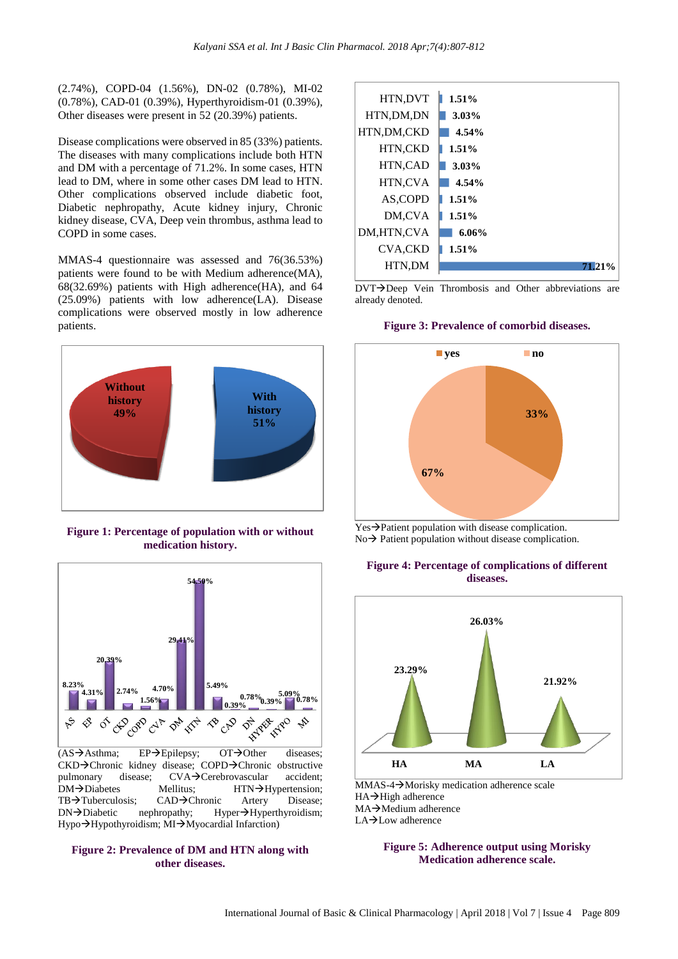(2.74%), COPD-04 (1.56%), DN-02 (0.78%), MI-02 (0.78%), CAD-01 (0.39%), Hyperthyroidism-01 (0.39%), Other diseases were present in 52 (20.39%) patients.

Disease complications were observed in 85 (33%) patients. The diseases with many complications include both HTN and DM with a percentage of 71.2%. In some cases, HTN lead to DM, where in some other cases DM lead to HTN. Other complications observed include diabetic foot, Diabetic nephropathy, Acute kidney injury, Chronic kidney disease, CVA, Deep vein thrombus, asthma lead to COPD in some cases.

MMAS-4 questionnaire was assessed and 76(36.53%) patients were found to be with Medium adherence(MA), 68(32.69%) patients with High adherence(HA), and 64 (25.09%) patients with low adherence(LA). Disease complications were observed mostly in low adherence patients.



**Figure 1: Percentage of population with or without medication history.**



 $(AS \rightarrow Asthma; \t EP \rightarrow Epilepsy; \t OT \rightarrow Other$  diseases; CKD->Chronic kidney disease; COPD->Chronic obstructive pulmonary disease;  $CVA \rightarrow Cerebrovascular$  accident; DM→Diabetes Mellitus; HTN→Hypertension;<br>TB→Tuberculosis: CAD→Chronic Artery Disease: TB→Tuberculosis; CAD→Chronic Artery Disease;  $DN\rightarrow D$ iabetic nephropathy; Hyper $\rightarrow$ Hyperthyroidism; Hypo $\rightarrow$ Hypothyroidism; MI $\rightarrow$ Myocardial Infarction)

## **Figure 2: Prevalence of DM and HTN along with other diseases.**



DVT $\rightarrow$ Deep Vein Thrombosis and Other abbreviations are already denoted.





 $Yes \rightarrow$  Patient population with disease complication.  $No \rightarrow$  Patient population without disease complication.





 $MMAS-4 \rightarrow$ Morisky medication adherence scale  $HA \rightarrow H$ igh adherence  $MA \rightarrow$ Medium adherence  $LA \rightarrow Low$  adherence

### **Figure 5: Adherence output using Morisky Medication adherence scale.**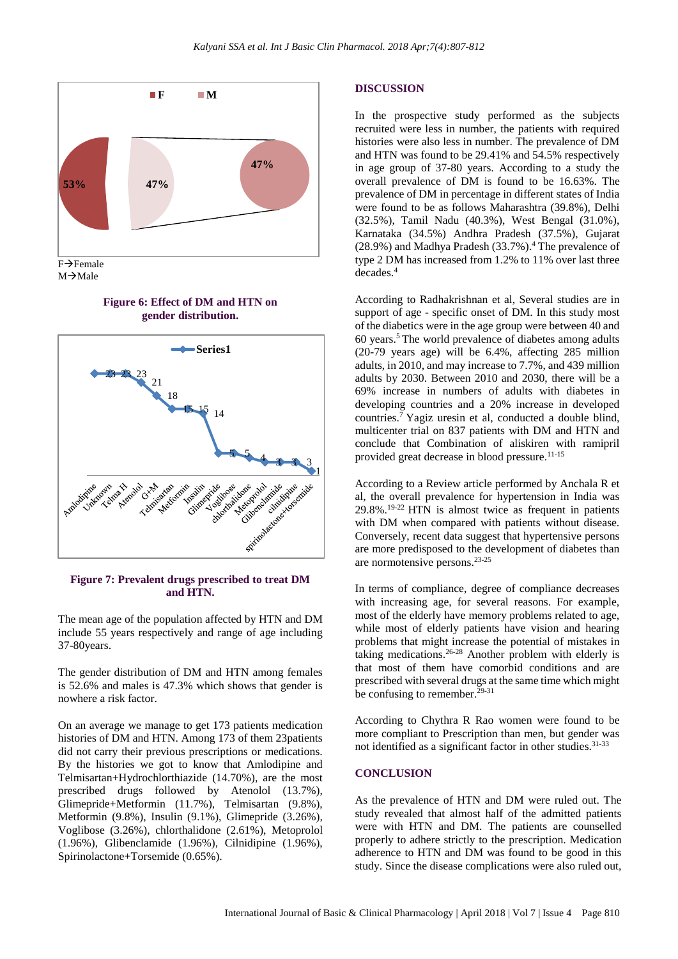

 $M \rightarrow$ Male

### **Figure 6: Effect of DM and HTN on gender distribution.**



## **Figure 7: Prevalent drugs prescribed to treat DM and HTN.**

The mean age of the population affected by HTN and DM include 55 years respectively and range of age including 37-80years.

The gender distribution of DM and HTN among females is 52.6% and males is 47.3% which shows that gender is nowhere a risk factor.

On an average we manage to get 173 patients medication histories of DM and HTN. Among 173 of them 23patients did not carry their previous prescriptions or medications. By the histories we got to know that Amlodipine and Telmisartan+Hydrochlorthiazide (14.70%), are the most prescribed drugs followed by Atenolol (13.7%), Glimepride+Metformin (11.7%), Telmisartan (9.8%), Metformin (9.8%), Insulin (9.1%), Glimepride (3.26%), Voglibose (3.26%), chlorthalidone (2.61%), Metoprolol (1.96%), Glibenclamide (1.96%), Cilnidipine (1.96%), Spirinolactone+Torsemide (0.65%).

#### **DISCUSSION**

In the prospective study performed as the subjects recruited were less in number, the patients with required histories were also less in number. The prevalence of DM and HTN was found to be 29.41% and 54.5% respectively in age group of 37-80 years. According to a study the overall prevalence of DM is found to be 16.63%. The prevalence of DM in percentage in different states of India were found to be as follows Maharashtra (39.8%), Delhi (32.5%), Tamil Nadu (40.3%), West Bengal (31.0%), Karnataka (34.5%) Andhra Pradesh (37.5%), Gujarat (28.9%) and Madhya Pradesh (33.7%). <sup>4</sup> The prevalence of type 2 DM has increased from 1.2% to 11% over last three decades. 4

According to Radhakrishnan et al, Several studies are in support of age - specific onset of DM. In this study most of the diabetics were in the age group were between 40 and 60 years. <sup>5</sup> The world prevalence of diabetes among adults (20-79 years age) will be 6.4%, affecting 285 million adults, in 2010, and may increase to 7.7%, and 439 million adults by 2030. Between 2010 and 2030, there will be a 69% increase in numbers of adults with diabetes in developing countries and a 20% increase in developed countries. <sup>7</sup> Yagiz uresin et al, conducted a double blind, multicenter trial on 837 patients with DM and HTN and conclude that Combination of aliskiren with ramipril provided great decrease in blood pressure. 11-15

According to a Review article performed by Anchala R et al, the overall prevalence for hypertension in India was 29.8%. 19-22 HTN is almost twice as frequent in patients with DM when compared with patients without disease. Conversely, recent data suggest that hypertensive persons are more predisposed to the development of diabetes than are normotensive persons. 23-25

In terms of compliance, degree of compliance decreases with increasing age, for several reasons. For example, most of the elderly have memory problems related to age, while most of elderly patients have vision and hearing problems that might increase the potential of mistakes in taking medications.26-28 Another problem with elderly is that most of them have comorbid conditions and are prescribed with several drugs at the same time which might be confusing to remember. 29-31

According to Chythra R Rao women were found to be more compliant to Prescription than men, but gender was not identified as a significant factor in other studies. 31-33

#### **CONCLUSION**

As the prevalence of HTN and DM were ruled out. The study revealed that almost half of the admitted patients were with HTN and DM. The patients are counselled properly to adhere strictly to the prescription. Medication adherence to HTN and DM was found to be good in this study. Since the disease complications were also ruled out,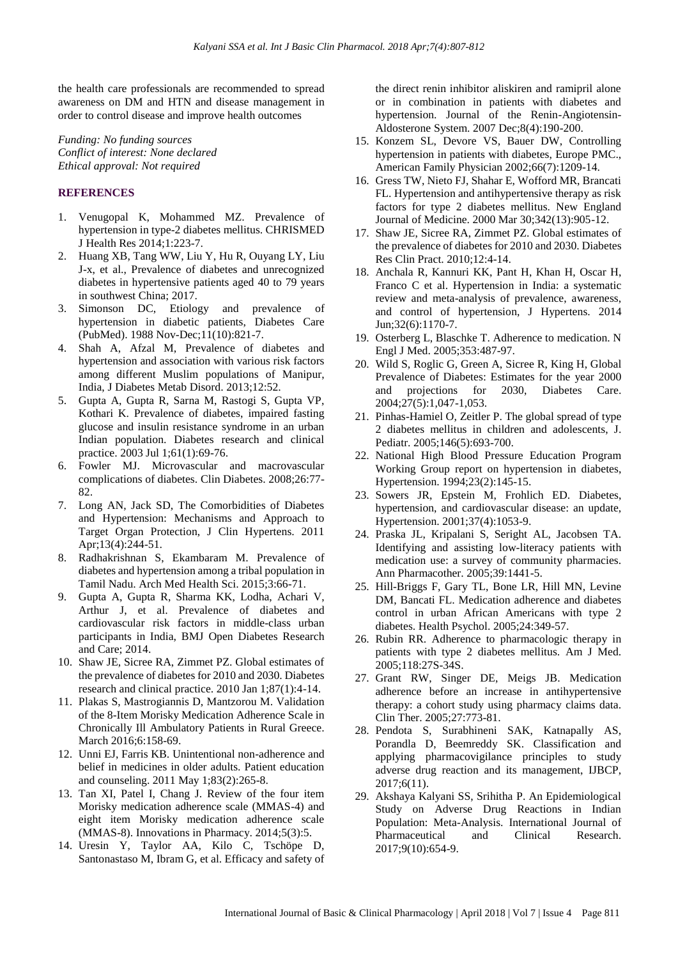the health care professionals are recommended to spread awareness on DM and HTN and disease management in order to control disease and improve health outcomes

*Funding: No funding sources Conflict of interest: None declared Ethical approval: Not required*

## **REFERENCES**

- 1. Venugopal K, Mohammed MZ. Prevalence of hypertension in type-2 diabetes mellitus. CHRISMED J Health Res 2014;1:223-7.
- 2. Huang XB, Tang WW, Liu Y, Hu R, Ouyang LY, Liu J-x, et al., Prevalence of diabetes and unrecognized diabetes in hypertensive patients aged 40 to 79 years in southwest China; 2017.
- 3. Simonson DC, Etiology and prevalence of hypertension in diabetic patients, Diabetes Care (PubMed). 1988 Nov-Dec;11(10):821-7.
- 4. Shah A, Afzal M, Prevalence of diabetes and hypertension and association with various risk factors among different Muslim populations of Manipur, India, J Diabetes Metab Disord. 2013;12:52.
- 5. Gupta A, Gupta R, Sarna M, Rastogi S, Gupta VP, Kothari K. Prevalence of diabetes, impaired fasting glucose and insulin resistance syndrome in an urban Indian population. Diabetes research and clinical practice. 2003 Jul 1;61(1):69-76.
- 6. Fowler MJ. Microvascular and macrovascular complications of diabetes. Clin Diabetes. 2008;26:77- 82.
- 7. Long AN, Jack SD, The Comorbidities of Diabetes and Hypertension: Mechanisms and Approach to Target Organ Protection, J Clin Hypertens. 2011 Apr;13(4):244-51.
- 8. Radhakrishnan S, Ekambaram M. Prevalence of diabetes and hypertension among a tribal population in Tamil Nadu. Arch Med Health Sci. 2015;3:66-71.
- 9. Gupta A, Gupta R, Sharma KK, Lodha, Achari V, Arthur J, et al. Prevalence of diabetes and cardiovascular risk factors in middle-class urban participants in India, BMJ Open Diabetes Research and Care; 2014.
- 10. Shaw JE, Sicree RA, Zimmet PZ. Global estimates of the prevalence of diabetes for 2010 and 2030. Diabetes research and clinical practice. 2010 Jan 1;87(1):4-14.
- 11. Plakas S, Mastrogiannis D, Mantzorou M. Validation of the 8-Item Morisky Medication Adherence Scale in Chronically Ill Ambulatory Patients in Rural Greece. March 2016;6:158-69.
- 12. Unni EJ, Farris KB. Unintentional non-adherence and belief in medicines in older adults. Patient education and counseling. 2011 May 1;83(2):265-8.
- 13. Tan XI, Patel I, Chang J. Review of the four item Morisky medication adherence scale (MMAS-4) and eight item Morisky medication adherence scale (MMAS-8). Innovations in Pharmacy. 2014;5(3):5.
- 14. Uresin Y, Taylor AA, Kilo C, Tschöpe D, Santonastaso M, Ibram G, et al. Efficacy and safety of

the direct renin inhibitor aliskiren and ramipril alone or in combination in patients with diabetes and hypertension. Journal of the Renin-Angiotensin-Aldosterone System. 2007 Dec;8(4):190-200.

- 15. Konzem SL, Devore VS, Bauer DW, Controlling hypertension in patients with diabetes, Europe PMC., American Family Physician 2002;66(7):1209-14.
- 16. Gress TW, Nieto FJ, Shahar E, Wofford MR, Brancati FL. Hypertension and antihypertensive therapy as risk factors for type 2 diabetes mellitus. New England Journal of Medicine. 2000 Mar 30;342(13):905-12.
- 17. Shaw JE, Sicree RA, Zimmet PZ. Global estimates of the prevalence of diabetes for 2010 and 2030. Diabetes Res Clin Pract. 2010;12:4-14.
- 18. Anchala R, Kannuri KK, Pant H, Khan H, Oscar H, Franco C et al. Hypertension in India: a systematic review and meta-analysis of prevalence, awareness, and control of hypertension, J Hypertens. 2014 Jun;32(6):1170-7.
- 19. Osterberg L, Blaschke T. Adherence to medication. N Engl J Med. 2005;353:487-97.
- 20. Wild S, Roglic G, Green A, Sicree R, King H, Global Prevalence of Diabetes: Estimates for the year 2000 and projections for 2030, Diabetes Care. 2004;27(5):1,047-1,053.
- 21. Pinhas-Hamiel O, Zeitler P. The global spread of type 2 diabetes mellitus in children and adolescents, J. Pediatr. 2005;146(5):693-700.
- 22. National High Blood Pressure Education Program Working Group report on hypertension in diabetes, Hypertension. 1994;23(2):145-15.
- 23. Sowers JR, Epstein M, Frohlich ED. Diabetes, hypertension, and cardiovascular disease: an update, Hypertension. 2001;37(4):1053-9.
- 24. Praska JL, Kripalani S, Seright AL, Jacobsen TA. Identifying and assisting low-literacy patients with medication use: a survey of community pharmacies. Ann Pharmacother. 2005;39:1441-5.
- 25. Hill-Briggs F, Gary TL, Bone LR, Hill MN, Levine DM, Bancati FL. Medication adherence and diabetes control in urban African Americans with type 2 diabetes. Health Psychol. 2005;24:349-57.
- 26. Rubin RR. Adherence to pharmacologic therapy in patients with type 2 diabetes mellitus. Am J Med. 2005;118:27S-34S.
- 27. Grant RW, Singer DE, Meigs JB. Medication adherence before an increase in antihypertensive therapy: a cohort study using pharmacy claims data. Clin Ther. 2005;27:773-81.
- 28. Pendota S, Surabhineni SAK, Katnapally AS, Porandla D, Beemreddy SK. Classification and applying pharmacovigilance principles to study adverse drug reaction and its management, IJBCP, 2017;6(11).
- 29. Akshaya Kalyani SS, Srihitha P. An Epidemiological Study on Adverse Drug Reactions in Indian Population: Meta-Analysis. International Journal of Pharmaceutical and Clinical Research. 2017;9(10):654-9.